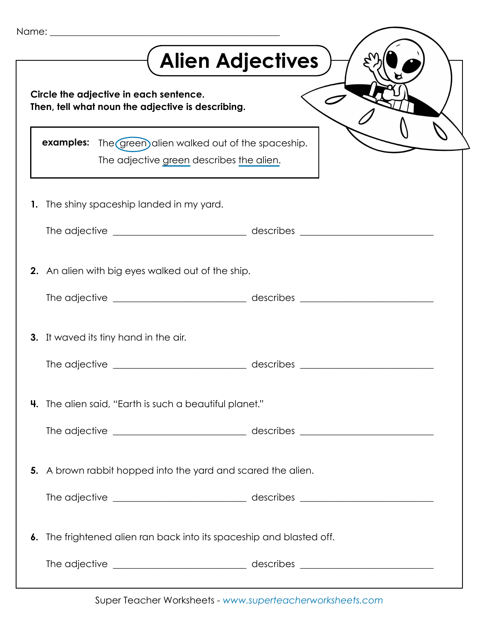|    | <b>Alien Adjectives</b>                                                                                   |  |  |
|----|-----------------------------------------------------------------------------------------------------------|--|--|
|    | Circle the adjective in each sentence.<br>Then, tell what noun the adjective is describing.               |  |  |
|    | <b>examples:</b> The green alien walked out of the spaceship.<br>The adjective green describes the alien. |  |  |
| 1. | The shiny spaceship landed in my yard.                                                                    |  |  |
|    |                                                                                                           |  |  |
|    | <b>2.</b> An alien with big eyes walked out of the ship.                                                  |  |  |
|    |                                                                                                           |  |  |
|    | 3. It waved its tiny hand in the air.                                                                     |  |  |
|    |                                                                                                           |  |  |
|    | <b>4.</b> The alien said, "Earth is such a beautiful planet."                                             |  |  |
|    |                                                                                                           |  |  |
|    | 5. A brown rabbit hopped into the yard and scared the alien.                                              |  |  |
|    |                                                                                                           |  |  |
| 6. | The frightened alien ran back into its spaceship and blasted off.                                         |  |  |
|    |                                                                                                           |  |  |

Super Teacher Worksheets - *www.superteacherworksheets.com*